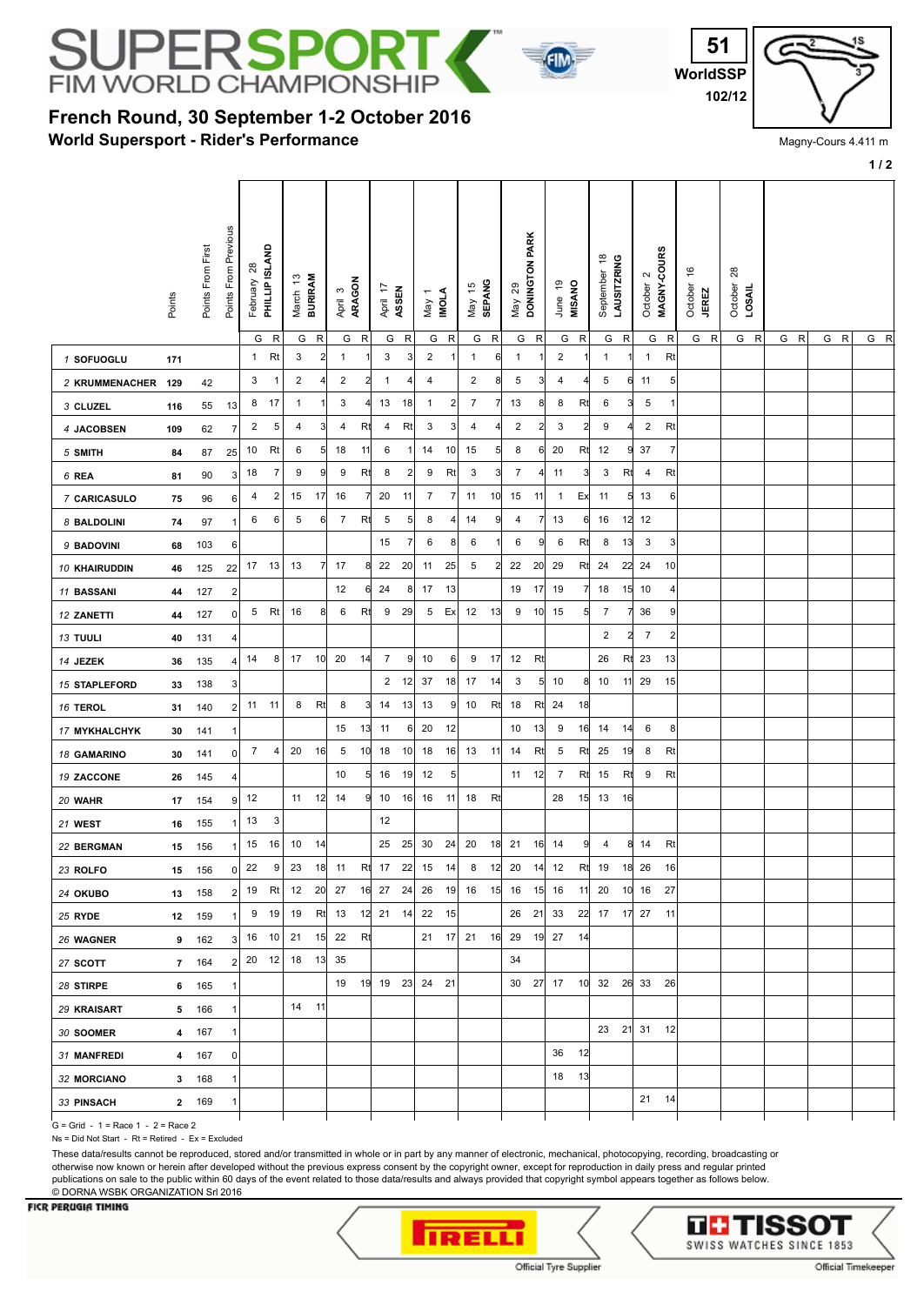

## **French Round, 30 September 1-2 October 2016**

**World Supersport - Rider's Performance**



Magny-Cours 4.411 m

|                      |                |                   |                         |                               |                |                         |                |                   |                         |                   |                |                       |                         |                         |              |                          |                 |                   |                |                                           |              |                                             |                |                                          |                           |     |     | 1/2 |
|----------------------|----------------|-------------------|-------------------------|-------------------------------|----------------|-------------------------|----------------|-------------------|-------------------------|-------------------|----------------|-----------------------|-------------------------|-------------------------|--------------|--------------------------|-----------------|-------------------|----------------|-------------------------------------------|--------------|---------------------------------------------|----------------|------------------------------------------|---------------------------|-----|-----|-----|
|                      | Points         | Points From First | Points From Previous    | February 28<br>PHILLIP ISLAND |                | March 13<br>BURIRAM     |                | ARAGON<br>April 3 |                         | April 17<br>ASSEN |                | <b>INOLA</b><br>May 1 |                         | <b>SEPANG</b><br>May 15 |              | DONINGTON PARK<br>May 29 |                 | June 19<br>MISANO |                | $\frac{8}{3}$<br>LAUSITZRING<br>September |              | MAGNY-COURS<br>$\mathbf{\Omega}$<br>October |                | $\frac{6}{5}$<br>October<br><b>JEREZ</b> | $28$<br>October<br>LOSAIL |     |     |     |
|                      |                |                   |                         |                               | G <sub>R</sub> | G                       | R              | G                 | R                       | G                 | R              | G                     | $\mathsf{R}$            | G                       | $\mathsf{R}$ | G                        | $\mathsf{R}$    | G                 | ${\sf R}$      | G                                         | $\mathsf{R}$ | G                                           | $\mathsf R$    | G R                                      | G R                       | G R | G R | G R |
| 1 SOFUOGLU           | 171            |                   |                         | $\mathbf{1}$                  | Rt             | 3                       | $\overline{a}$ | $\mathbf{1}$      | 1                       | 3                 | 3              | $\overline{2}$        | -1                      | $\mathbf{1}$            | 6            | 1                        | 1               | $\overline{2}$    |                | $\mathbf{1}$                              |              | $\mathbf{1}$                                | Rt             |                                          |                           |     |     |     |
| 2 KRUMMENACHER       | 129            | 42                |                         | 3                             | 1              | $\overline{\mathbf{c}}$ |                | $\overline{c}$    | $\overline{\mathbf{c}}$ | $\mathbf{1}$      | 4              | 4                     |                         | $\overline{\mathbf{c}}$ | 8            | 5                        | $\overline{3}$  | 4                 | 4              | 5                                         |              | 6 11                                        | 5              |                                          |                           |     |     |     |
| 3 CLUZEL             | 116            | 55                | 13                      | 8                             | 17             | 1                       |                | 3                 |                         | 13                | 18             | $\mathbf{1}$          | $\overline{\mathbf{c}}$ | $\overline{7}$          | 7            | 13                       | 8               | 8                 | Rt             | 6                                         | 3            | $\sqrt{5}$                                  | 1              |                                          |                           |     |     |     |
| 4 JACOBSEN           | 109            | 62                | 7                       | $\overline{a}$                | 5              | 4                       | 3              | 4                 | Rt                      | 4                 | Rt             | 3                     | 3                       | 4                       | 4            | $\overline{2}$           | $\overline{2}$  | 3                 | $\overline{2}$ | 9                                         |              | $\overline{2}$                              | Rt             |                                          |                           |     |     |     |
| 5 SMITH              | 84             | 87                | 25                      | 10                            | Rt             | 6                       | 5              | 18                | 11                      | 6                 | -1             | 14                    | 10                      | 15                      | 5            | 8                        | 6               | 20                | Rt             | 12                                        | 9            | 37                                          | $\overline{7}$ |                                          |                           |     |     |     |
| 6 REA                | 81             | 90                | $\mathbf{3}$            | 18                            | 7              | 9                       | 9              | 9                 | Rt                      | 8                 | $\overline{2}$ | 9                     | Rt                      | 3                       | 3            | 7                        | $\frac{4}{3}$   | 11                | 3              | 3                                         | Rt           | 4                                           | Rt             |                                          |                           |     |     |     |
| 7 CARICASULO         | 75             | 96                | 6                       | 4                             | 2              | 15                      | 17             | 16                | 7                       | 20                | 11             | $\overline{7}$        | $\overline{7}$          | 11                      | 10           | 15                       | 11              | $\overline{1}$    | Ex             | 11                                        |              | $5 \mid 13$                                 | 6              |                                          |                           |     |     |     |
| 8 BALDOLINI          | 74             | 97                |                         | 6                             | 6              | 5                       | 6              | $\overline{7}$    | Rt                      | 5                 | $\sqrt{5}$     | 8                     | 4                       | 14                      | 9            | 4                        | $\overline{7}$  | 13                | 6              | 16                                        |              | $12$ 12                                     |                |                                          |                           |     |     |     |
| 9 BADOVINI           | 68             | 103               | 6                       |                               |                |                         |                |                   |                         | 15                | 7              | 6                     | 8                       | 6                       |              | 6                        | 9               | 6                 | Rt             | 8                                         | 13           | $\mathbf{3}$                                | 3              |                                          |                           |     |     |     |
| 10 KHAIRUDDIN        | 46             | 125               | 22                      |                               | 17 13          | 13                      | 7              | 17                | 8                       | 22                | 20             | 11                    | 25                      | 5                       | 2            | 22                       | 20              | 29                | Rt             | 24                                        |              | 22 24                                       | 10             |                                          |                           |     |     |     |
| 11 BASSANI           | 44             | 127               | $\overline{\mathbf{c}}$ |                               |                |                         |                | 12                | 6                       | 24                | 8              | 17                    | 13                      |                         |              | 19                       | 17              | 19                | 7              | 18                                        |              | $15$ 10                                     | 4              |                                          |                           |     |     |     |
| 12 ZANETTI           | 44             | 127               | $\overline{0}$          |                               | 5 Rt           | 16                      | 8              | 6                 | Rt                      | 9                 | 29             | 5                     | Ex                      | 12                      | 13           | 9                        | 10              | 15                | 5              | $\overline{7}$                            | 71           | 36                                          | 9              |                                          |                           |     |     |     |
| 13 TUULI             | 40             | 131               | 4                       |                               |                |                         |                |                   |                         |                   |                |                       |                         |                         |              |                          |                 |                   |                | 2                                         | $\mathbf{2}$ | $\overline{7}$                              | 2              |                                          |                           |     |     |     |
| 14 JEZEK             | 36             | 135               | 4                       | 14                            | 8              | 17 10                   |                | 20                | 14                      | $\overline{7}$    | 9              | 10                    | 6                       | 9                       | 17           | 12                       | Rt              |                   |                | 26                                        | Rt           | 23                                          | 13             |                                          |                           |     |     |     |
| <b>15 STAPLEFORD</b> | 33             | 138               | 3                       |                               |                |                         |                |                   |                         | $\overline{2}$    | 12             | 37                    | 18                      | 17                      | 14           | 3                        | $5\overline{)}$ | 10                | 8              | 10                                        | 11           | 29                                          | 15             |                                          |                           |     |     |     |
| 16 TEROL             | 31             | 140               | $\overline{2}$          |                               | 11 11          | 8                       | Rt             | 8                 | 3                       | 14                | 13             | 13                    | $\overline{9}$          | 10                      | Rt           | 18                       | Rt              | 24                | 18             |                                           |              |                                             |                |                                          |                           |     |     |     |
| 17 MYKHALCHYK        | 30             | 141               |                         |                               |                |                         |                | 15                | 13                      | 11                | 6              | 20                    | 12                      |                         |              | 10                       | 13              | 9                 | 16             | 14                                        | 14           | 6                                           | 8              |                                          |                           |     |     |     |
| 18 GAMARINO          | 30             | 141               | 0                       | $\overline{7}$                | 4              | 20                      | 16             | 5                 | 10                      | 18                | 10             | 18                    | 16                      | 13                      | 11           | 14                       | Rt              | 5                 | Rt             | 25                                        | 19           | 8                                           | Rt             |                                          |                           |     |     |     |
| 19 ZACCONE           | 26             | 145               | 4                       |                               |                |                         |                | 10                | 5                       | 16                | 19             | 12                    | $\sqrt{5}$              |                         |              | 11                       | 12              | $\overline{7}$    | Rt             | 15                                        | Rt           | 9                                           | Rt             |                                          |                           |     |     |     |
| 20 WAHR              | 17             | 154               | 9                       | 12                            |                |                         | 11 12          | 14                | 9                       | 10                | 16             | 16                    | 11                      | 18                      | Rt           |                          |                 | 28                |                | $15$ 13                                   | 16           |                                             |                |                                          |                           |     |     |     |
| 21 WEST              | 16             | 155               |                         | 13                            | 3              |                         |                |                   |                         | 12                |                |                       |                         |                         |              |                          |                 |                   |                |                                           |              |                                             |                |                                          |                           |     |     |     |
| 22 BERGMAN           | 15             | 156               |                         |                               | 15 16          | 10                      | 14             |                   |                         | 25                | 25             | 30                    | 24                      | 20                      | 18           | 21 16                    |                 | 14                | 9              | 4                                         |              | 8 14                                        | Rt             |                                          |                           |     |     |     |
| 23 ROLFO             | 15             | 156               | $\Omega$                | 22                            | 9              | 23                      | 18             | 11                | Rt                      | 17                | 22             | 15                    | 14                      | 8                       | 12           | 20                       | 14              | 12                | Rt             | 19                                        | 18           | 26                                          | 16             |                                          |                           |     |     |     |
| 24 OKUBO             | 13             | 158               | 2 <sup>1</sup>          |                               | 19 Rt          |                         |                | 12 20 27          |                         | 16 27             | 24             | 26                    |                         | 19 16                   |              | 15 16 15 16              |                 |                   | 11             |                                           |              | 20 10 16                                    | 27             |                                          |                           |     |     |     |
| 25 RYDE              | 12             | 159               |                         |                               | 9 19           | 19                      |                | Rt 13             |                         | 12 21 14          |                | 22                    | 15                      |                         |              | 26                       | 21              | 33                |                | 22 17 17 27                               |              |                                             | $-11$          |                                          |                           |     |     |     |
| 26 WAGNER            | 9              | 162               | 3                       |                               | 16 10          | 21                      |                | 15 22             | Rt                      |                   |                |                       |                         | $21 \quad 17$ 21 16     |              | 29 19 27                 |                 |                   | 14             |                                           |              |                                             |                |                                          |                           |     |     |     |
| 27 SCOTT             | $\overline{7}$ | 164               | 2 <sup>1</sup>          |                               | $20 \quad 12$  | 18 13 35                |                |                   |                         |                   |                |                       |                         |                         |              | 34                       |                 |                   |                |                                           |              |                                             |                |                                          |                           |     |     |     |
| 28 STIRPE            | 6              | 165               |                         |                               |                |                         |                |                   |                         | 19 19 19 23 24 21 |                |                       |                         |                         |              |                          |                 |                   |                | 30 27 17 10 32 26 33 26                   |              |                                             |                |                                          |                           |     |     |     |
| 29 KRAISART          | 5              | 166               |                         |                               |                | 14                      | $-11$          |                   |                         |                   |                |                       |                         |                         |              |                          |                 |                   |                |                                           |              |                                             |                |                                          |                           |     |     |     |
| 30 SOOMER            | 4              | 167               | 1                       |                               |                |                         |                |                   |                         |                   |                |                       |                         |                         |              |                          |                 |                   |                |                                           |              | 23 21 31 12                                 |                |                                          |                           |     |     |     |
| 31 MANFREDI          | 4              | 167               | $\overline{0}$          |                               |                |                         |                |                   |                         |                   |                |                       |                         |                         |              |                          |                 | 36                | 12             |                                           |              |                                             |                |                                          |                           |     |     |     |
| <b>32 MORCIANO</b>   | 3              | 168               | -1                      |                               |                |                         |                |                   |                         |                   |                |                       |                         |                         |              |                          |                 | 18 13             |                |                                           |              |                                             |                |                                          |                           |     |     |     |
| 33 PINSACH           |                | 2 169             | -1                      |                               |                |                         |                |                   |                         |                   |                |                       |                         |                         |              |                          |                 |                   |                |                                           |              | 21 14                                       |                |                                          |                           |     |     |     |

G = Grid - 1 = Race 1 - 2 = Race 2

Ns = Did Not Start - Rt = Retired - Ex = Excluded

These data/results cannot be reproduced, stored and/or transmitted in whole or in part by any manner of electronic, mechanical, photocopying, recording, broadcasting or otherwise now known or herein after developed without the previous express consent by the copyright owner, except for reproduction in daily press and regular printed publications on sale to the public within 60 days of the event related to those data/results and always provided that copyright symbol appears together as follows below. © DORNA WSBK ORGANIZATION Srl 2016

## **FICR PERUGIA TIMING**